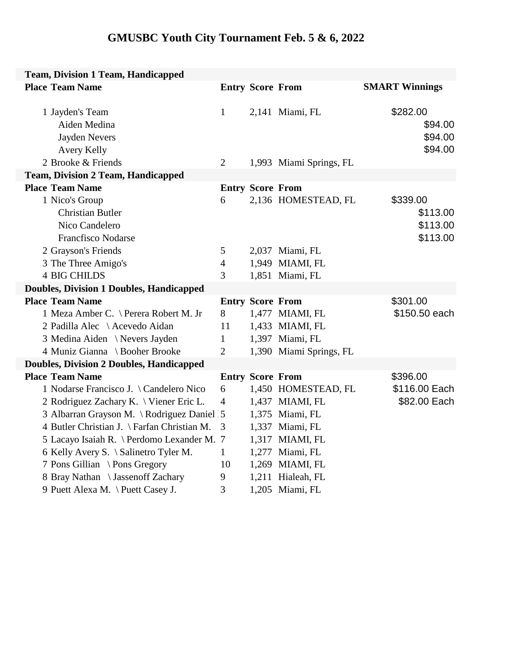## **GMUSBC Youth City Tournament Feb. 5 & 6, 2022**

| <b>Team, Division 1 Team, Handicapped</b>       |                         |                         |                         |                       |  |  |  |
|-------------------------------------------------|-------------------------|-------------------------|-------------------------|-----------------------|--|--|--|
| <b>Place Team Name</b>                          |                         | <b>Entry Score From</b> |                         | <b>SMART Winnings</b> |  |  |  |
|                                                 |                         |                         |                         |                       |  |  |  |
| 1 Jayden's Team                                 | $\mathbf{1}$            |                         | 2,141 Miami, FL         | \$282.00              |  |  |  |
| Aiden Medina                                    |                         |                         |                         | \$94.00               |  |  |  |
| Jayden Nevers                                   |                         |                         |                         | \$94.00               |  |  |  |
| Avery Kelly                                     |                         |                         |                         | \$94.00               |  |  |  |
| 2 Brooke & Friends                              | $\overline{2}$          |                         | 1,993 Miami Springs, FL |                       |  |  |  |
| <b>Team, Division 2 Team, Handicapped</b>       |                         |                         |                         |                       |  |  |  |
| <b>Place Team Name</b>                          |                         | <b>Entry Score From</b> |                         |                       |  |  |  |
| 1 Nico's Group                                  | 6                       |                         | 2,136 HOMESTEAD, FL     | \$339.00              |  |  |  |
| <b>Christian Butler</b>                         |                         |                         |                         | \$113.00              |  |  |  |
| Nico Candelero                                  |                         |                         |                         | \$113.00              |  |  |  |
| <b>Francfisco Nodarse</b>                       |                         |                         |                         | \$113.00              |  |  |  |
| 2 Grayson's Friends                             | 5                       |                         | 2,037 Miami, FL         |                       |  |  |  |
| 3 The Three Amigo's                             | $\overline{4}$          |                         | 1,949 MIAMI, FL         |                       |  |  |  |
| <b>4 BIG CHILDS</b>                             | 3                       |                         | 1,851 Miami, FL         |                       |  |  |  |
| <b>Doubles, Division 1 Doubles, Handicapped</b> |                         |                         |                         |                       |  |  |  |
| <b>Place Team Name</b>                          |                         | <b>Entry Score From</b> |                         | \$301.00              |  |  |  |
| 1 Meza Amber C. \ Perera Robert M. Jr           | 8                       |                         | 1,477 MIAMI, FL         | \$150.50 each         |  |  |  |
| 2 Padilla Alec \ Acevedo Aidan                  | 11                      |                         | 1,433 MIAMI, FL         |                       |  |  |  |
| 3 Medina Aiden \Nevers Jayden                   | $\mathbf{1}$            |                         | 1,397 Miami, FL         |                       |  |  |  |
| 4 Muniz Gianna \ Booher Brooke                  | $\overline{2}$          |                         | 1,390 Miami Springs, FL |                       |  |  |  |
| <b>Doubles, Division 2 Doubles, Handicapped</b> |                         |                         |                         |                       |  |  |  |
| <b>Place Team Name</b>                          | <b>Entry Score From</b> |                         |                         | \$396.00              |  |  |  |
| 1 Nodarse Francisco J. \Candelero Nico          | 6                       |                         | 1,450 HOMESTEAD, FL     | \$116.00 Each         |  |  |  |
| 2 Rodriguez Zachary K. \ Viener Eric L.         | $\overline{4}$          |                         | 1,437 MIAMI, FL         | \$82.00 Each          |  |  |  |
| 3 Albarran Grayson M. \Rodriguez Daniel 15      |                         |                         | 1,375 Miami, FL         |                       |  |  |  |
| 4 Butler Christian J. \ Farfan Christian M.     | 3                       |                         | 1,337 Miami, FL         |                       |  |  |  |
| 5 Lacayo Isaiah R. \ Perdomo Lexander M. 7      |                         |                         | 1,317 MIAMI, FL         |                       |  |  |  |
| 6 Kelly Avery S. \ Salinetro Tyler M.           | $\mathbf{1}$            |                         | 1,277 Miami, FL         |                       |  |  |  |
| 7 Pons Gillian \ Pons Gregory                   | 10                      |                         | 1,269 MIAMI, FL         |                       |  |  |  |
| 8 Bray Nathan \ Jassenoff Zachary               | 9                       |                         | 1,211 Hialeah, FL       |                       |  |  |  |
| 9 Puett Alexa M. \ Puett Casey J.               | 3                       |                         | 1,205 Miami, FL         |                       |  |  |  |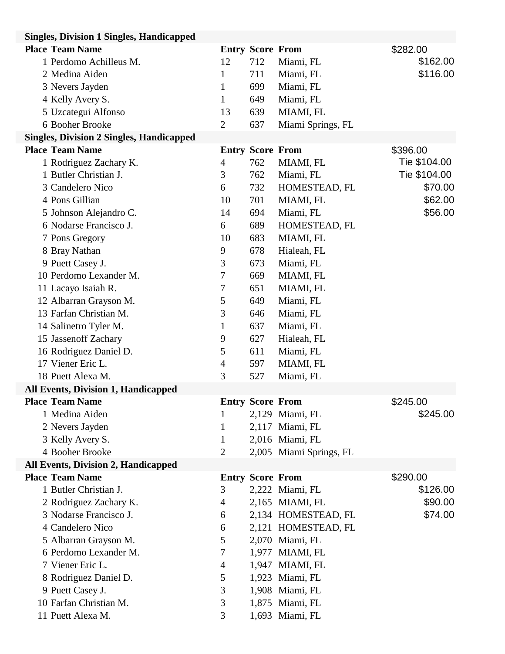| <b>Singles, Division 1 Singles, Handicapped</b> |                |                         |                         |              |
|-------------------------------------------------|----------------|-------------------------|-------------------------|--------------|
| <b>Place Team Name</b>                          |                | <b>Entry Score From</b> |                         | \$282.00     |
| 1 Perdomo Achilleus M.                          | 12             | 712                     | Miami, FL               | \$162.00     |
| 2 Medina Aiden                                  | $\mathbf{1}$   | 711                     | Miami, FL               | \$116.00     |
| 3 Nevers Jayden                                 | 1              | 699                     | Miami, FL               |              |
| 4 Kelly Avery S.                                | $\mathbf{1}$   | 649                     | Miami, FL               |              |
| 5 Uzcategui Alfonso                             | 13             | 639                     | MIAMI, FL               |              |
| 6 Booher Brooke                                 | $\overline{2}$ | 637                     | Miami Springs, FL       |              |
| <b>Singles, Division 2 Singles, Handicapped</b> |                |                         |                         |              |
| <b>Place Team Name</b>                          |                | <b>Entry Score From</b> |                         | \$396.00     |
| 1 Rodriguez Zachary K.                          | 4              | 762                     | MIAMI, FL               | Tie \$104.00 |
| 1 Butler Christian J.                           | 3              | 762                     | Miami, FL               | Tie \$104.00 |
| 3 Candelero Nico                                | 6              | 732                     | HOMESTEAD, FL           | \$70.00      |
| 4 Pons Gillian                                  | 10             | 701                     | MIAMI, FL               | \$62.00      |
| 5 Johnson Alejandro C.                          | 14             | 694                     | Miami, FL               | \$56.00      |
| 6 Nodarse Francisco J.                          | 6              | 689                     | HOMESTEAD, FL           |              |
| 7 Pons Gregory                                  | 10             | 683                     | MIAMI, FL               |              |
| 8 Bray Nathan                                   | 9              | 678                     | Hialeah, FL             |              |
| 9 Puett Casey J.                                | 3              | 673                     | Miami, FL               |              |
| 10 Perdomo Lexander M.                          | 7              | 669                     | MIAMI, FL               |              |
| 11 Lacayo Isaiah R.                             | 7              | 651                     | MIAMI, FL               |              |
| 12 Albarran Grayson M.                          | 5              | 649                     | Miami, FL               |              |
| 13 Farfan Christian M.                          | 3              | 646                     | Miami, FL               |              |
| 14 Salinetro Tyler M.                           | $\mathbf{1}$   | 637                     | Miami, FL               |              |
| 15 Jassenoff Zachary                            | 9              | 627                     | Hialeah, FL             |              |
| 16 Rodriguez Daniel D.                          | 5              | 611                     | Miami, FL               |              |
| 17 Viener Eric L.                               | 4              | 597                     | MIAMI, FL               |              |
| 18 Puett Alexa M.                               | 3              | 527                     | Miami, FL               |              |
| All Events, Division 1, Handicapped             |                |                         |                         |              |
| <b>Place Team Name</b>                          |                | <b>Entry Score From</b> |                         | \$245.00     |
| 1 Medina Aiden                                  | 1              |                         | 2,129 Miami, FL         | \$245.00     |
| 2 Nevers Jayden                                 | 1              |                         | 2,117 Miami, FL         |              |
| 3 Kelly Avery S.                                | 1              |                         | 2,016 Miami, FL         |              |
| 4 Booher Brooke                                 | $\overline{2}$ |                         | 2,005 Miami Springs, FL |              |
| <b>All Events, Division 2, Handicapped</b>      |                |                         |                         |              |
| <b>Place Team Name</b>                          |                | <b>Entry Score From</b> |                         | \$290.00     |
| 1 Butler Christian J.                           | 3              |                         | 2,222 Miami, FL         | \$126.00     |
| 2 Rodriguez Zachary K.                          | 4              |                         | 2,165 MIAMI, FL         | \$90.00      |
| 3 Nodarse Francisco J.                          | 6              |                         | 2,134 HOMESTEAD, FL     | \$74.00      |
| 4 Candelero Nico                                | 6              |                         | 2,121 HOMESTEAD, FL     |              |
| 5 Albarran Grayson M.                           | 5              |                         | 2,070 Miami, FL         |              |
| 6 Perdomo Lexander M.                           | 7              |                         | 1,977 MIAMI, FL         |              |
| 7 Viener Eric L.                                | $\overline{4}$ |                         | 1,947 MIAMI, FL         |              |
| 8 Rodriguez Daniel D.                           | 5              |                         | 1,923 Miami, FL         |              |
| 9 Puett Casey J.                                | 3              |                         | 1,908 Miami, FL         |              |
| 10 Farfan Christian M.                          | 3              |                         | 1,875 Miami, FL         |              |
| 11 Puett Alexa M.                               | 3              |                         | 1,693 Miami, FL         |              |